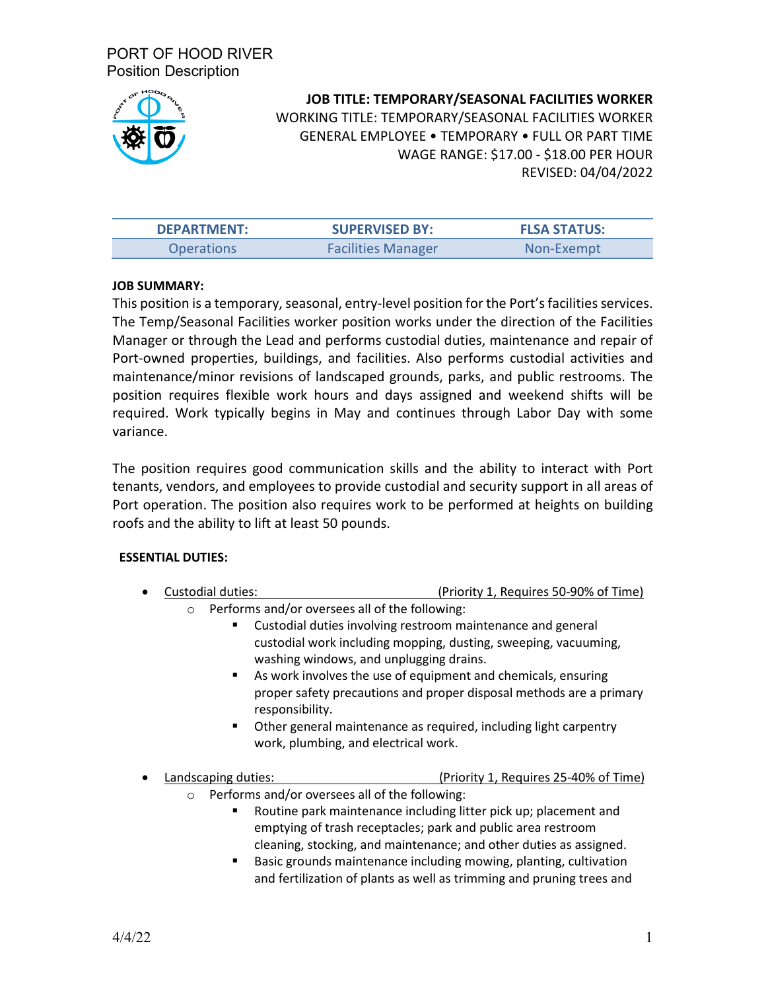

# **JOB TITLE: TEMPORARY/SEASONAL FACILITIES WORKER** WORKING TITLE: TEMPORARY/SEASONAL FACILITIES WORKER GENERAL EMPLOYEE • TEMPORARY • FULL OR PART TIME WAGE RANGE: \$17.00 - \$18.00 PER HOUR REVISED: 04/04/2022

| <b>DEPARTMENT:</b> | <b>SUPERVISED BY:</b>     | <b>FLSA STATUS:</b> |
|--------------------|---------------------------|---------------------|
| Operations         | <b>Facilities Manager</b> | Non-Exempt          |

# **JOB SUMMARY:**

This position is a temporary, seasonal, entry-level position for the Port's facilities services. The Temp/Seasonal Facilities worker position works under the direction of the Facilities Manager or through the Lead and performs custodial duties, maintenance and repair of Port-owned properties, buildings, and facilities. Also performs custodial activities and maintenance/minor revisions of landscaped grounds, parks, and public restrooms. The position requires flexible work hours and days assigned and weekend shifts will be required. Work typically begins in May and continues through Labor Day with some variance.

The position requires good communication skills and the ability to interact with Port tenants, vendors, and employees to provide custodial and security support in all areas of Port operation. The position also requires work to be performed at heights on building roofs and the ability to lift at least 50 pounds.

# **ESSENTIAL DUTIES:**

- Custodial duties: (Priority 1, Requires 50-90% of Time)
	- o Performs and/or oversees all of the following:
		- Custodial duties involving restroom maintenance and general custodial work including mopping, dusting, sweeping, vacuuming, washing windows, and unplugging drains.
		- As work involves the use of equipment and chemicals, ensuring proper safety precautions and proper disposal methods are a primary responsibility.
		- **Deal** Other general maintenance as required, including light carpentry work, plumbing, and electrical work.

• Landscaping duties: (Priority 1, Requires 25-40% of Time)

- o Performs and/or oversees all of the following:
	- Routine park maintenance including litter pick up; placement and emptying of trash receptacles; park and public area restroom cleaning, stocking, and maintenance; and other duties as assigned.
	- Basic grounds maintenance including mowing, planting, cultivation and fertilization of plants as well as trimming and pruning trees and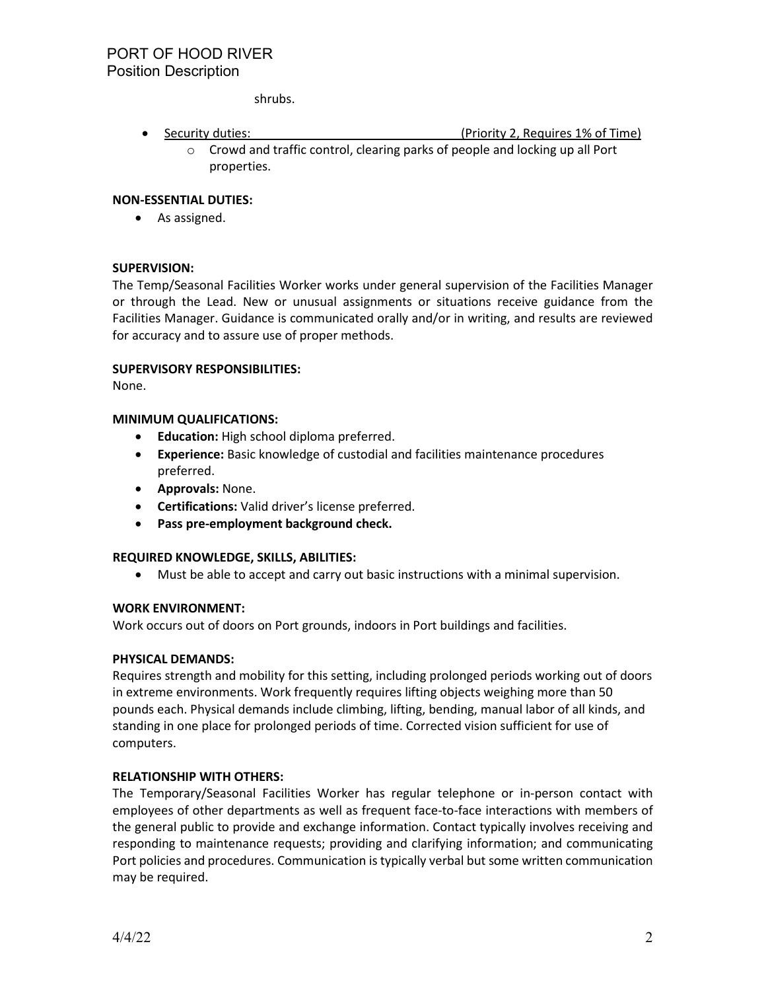shrubs.

- Security duties: \_\_\_ (Priority 2, Requires 1% of Time) o Crowd and traffic control, clearing parks of people and locking up all Port
	- properties.

#### **NON-ESSENTIAL DUTIES:**

• As assigned.

## **SUPERVISION:**

The Temp/Seasonal Facilities Worker works under general supervision of the Facilities Manager or through the Lead. New or unusual assignments or situations receive guidance from the Facilities Manager. Guidance is communicated orally and/or in writing, and results are reviewed for accuracy and to assure use of proper methods.

#### **SUPERVISORY RESPONSIBILITIES:**

None.

## **MINIMUM QUALIFICATIONS:**

- **Education:** High school diploma preferred.
- **Experience:** Basic knowledge of custodial and facilities maintenance procedures preferred.
- **Approvals:** None.
- **Certifications:** Valid driver's license preferred.
- **Pass pre-employment background check.**

#### **REQUIRED KNOWLEDGE, SKILLS, ABILITIES:**

• Must be able to accept and carry out basic instructions with a minimal supervision.

#### **WORK ENVIRONMENT:**

Work occurs out of doors on Port grounds, indoors in Port buildings and facilities.

#### **PHYSICAL DEMANDS:**

Requires strength and mobility for this setting, including prolonged periods working out of doors in extreme environments. Work frequently requires lifting objects weighing more than 50 pounds each. Physical demands include climbing, lifting, bending, manual labor of all kinds, and standing in one place for prolonged periods of time. Corrected vision sufficient for use of computers.

# **RELATIONSHIP WITH OTHERS:**

The Temporary/Seasonal Facilities Worker has regular telephone or in-person contact with employees of other departments as well as frequent face-to-face interactions with members of the general public to provide and exchange information. Contact typically involves receiving and responding to maintenance requests; providing and clarifying information; and communicating Port policies and procedures. Communication is typically verbal but some written communication may be required.